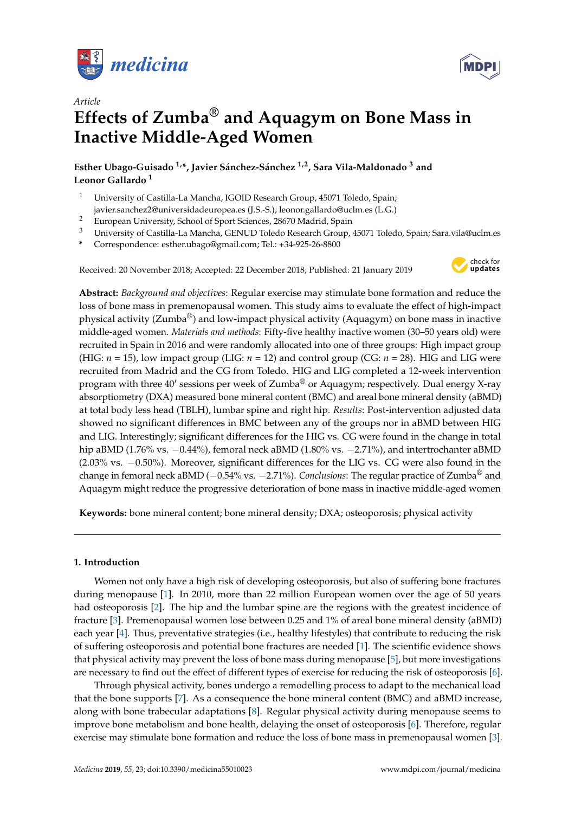

*Article*



# **Effects of Zumba® and Aquagym on Bone Mass in Inactive Middle-Aged Women**

**Esther Ubago-Guisado 1,\*, Javier Sánchez-Sánchez 1,2, Sara Vila-Maldonado <sup>3</sup> and Leonor Gallardo <sup>1</sup>**

- <sup>1</sup> University of Castilla-La Mancha, IGOID Research Group, 45071 Toledo, Spain; javier.sanchez2@universidadeuropea.es (J.S.-S.); leonor.gallardo@uclm.es (L.G.)
- <sup>2</sup> European University, School of Sport Sciences, 28670 Madrid, Spain<br><sup>3</sup> University of Castilla La Mangha CENUD Talada Bessarah Crown
- <sup>3</sup> University of Castilla-La Mancha, GENUD Toledo Research Group, 45071 Toledo, Spain; Sara.vila@uclm.es
- **\*** Correspondence: esther.ubago@gmail.com; Tel.: +34-925-26-8800

Received: 20 November 2018; Accepted: 22 December 2018; Published: 21 January 2019



**Abstract:** *Background and objectives*: Regular exercise may stimulate bone formation and reduce the loss of bone mass in premenopausal women. This study aims to evaluate the effect of high-impact physical activity (Zumba<sup>®</sup>) and low-impact physical activity (Aquagym) on bone mass in inactive middle-aged women. *Materials and methods*: Fifty-five healthy inactive women (30–50 years old) were recruited in Spain in 2016 and were randomly allocated into one of three groups: High impact group (HIG:  $n = 15$ ), low impact group (LIG:  $n = 12$ ) and control group (CG:  $n = 28$ ). HIG and LIG were recruited from Madrid and the CG from Toledo. HIG and LIG completed a 12-week intervention program with three 40' sessions per week of Zumba® or Aquagym; respectively. Dual energy X-ray absorptiometry (DXA) measured bone mineral content (BMC) and areal bone mineral density (aBMD) at total body less head (TBLH), lumbar spine and right hip. *Results*: Post-intervention adjusted data showed no significant differences in BMC between any of the groups nor in aBMD between HIG and LIG. Interestingly; significant differences for the HIG vs. CG were found in the change in total hip aBMD (1.76% vs. −0.44%), femoral neck aBMD (1.80% vs. −2.71%), and intertrochanter aBMD (2.03% vs. −0.50%). Moreover, significant differences for the LIG vs. CG were also found in the change in femoral neck aBMD (−0.54% vs. −2.71%). *Conclusions*: The regular practice of Zumba® and Aquagym might reduce the progressive deterioration of bone mass in inactive middle-aged women

**Keywords:** bone mineral content; bone mineral density; DXA; osteoporosis; physical activity

## **1. Introduction**

Women not only have a high risk of developing osteoporosis, but also of suffering bone fractures during menopause [\[1\]](#page-7-0). In 2010, more than 22 million European women over the age of 50 years had osteoporosis [\[2\]](#page-7-1). The hip and the lumbar spine are the regions with the greatest incidence of fracture [\[3\]](#page-7-2). Premenopausal women lose between 0.25 and 1% of areal bone mineral density (aBMD) each year [\[4\]](#page-7-3). Thus, preventative strategies (i.e., healthy lifestyles) that contribute to reducing the risk of suffering osteoporosis and potential bone fractures are needed [\[1\]](#page-7-0). The scientific evidence shows that physical activity may prevent the loss of bone mass during menopause [\[5\]](#page-7-4), but more investigations are necessary to find out the effect of different types of exercise for reducing the risk of osteoporosis [\[6\]](#page-7-5).

Through physical activity, bones undergo a remodelling process to adapt to the mechanical load that the bone supports [\[7\]](#page-7-6). As a consequence the bone mineral content (BMC) and aBMD increase, along with bone trabecular adaptations [\[8\]](#page-7-7). Regular physical activity during menopause seems to improve bone metabolism and bone health, delaying the onset of osteoporosis [\[6\]](#page-7-5). Therefore, regular exercise may stimulate bone formation and reduce the loss of bone mass in premenopausal women [\[3\]](#page-7-2).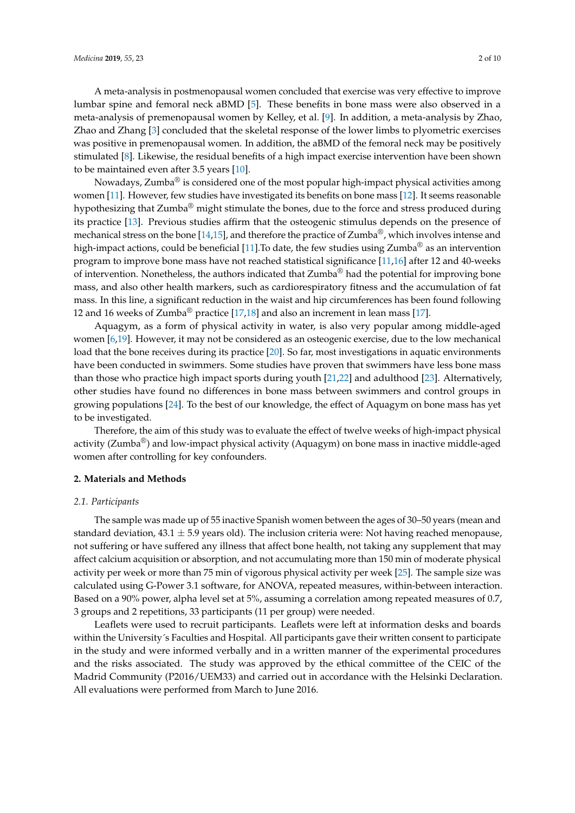A meta-analysis in postmenopausal women concluded that exercise was very effective to improve lumbar spine and femoral neck aBMD [\[5\]](#page-7-4). These benefits in bone mass were also observed in a meta-analysis of premenopausal women by Kelley, et al. [\[9\]](#page-8-0). In addition, a meta-analysis by Zhao, Zhao and Zhang [\[3\]](#page-7-2) concluded that the skeletal response of the lower limbs to plyometric exercises was positive in premenopausal women. In addition, the aBMD of the femoral neck may be positively stimulated [\[8\]](#page-7-7). Likewise, the residual benefits of a high impact exercise intervention have been shown to be maintained even after 3.5 years [\[10\]](#page-8-1).

Nowadays, Zumba® is considered one of the most popular high-impact physical activities among women [\[11\]](#page-8-2). However, few studies have investigated its benefits on bone mass [\[12\]](#page-8-3). It seems reasonable hypothesizing that  $Zumba^®$  might stimulate the bones, due to the force and stress produced during its practice [\[13\]](#page-8-4). Previous studies affirm that the osteogenic stimulus depends on the presence of mechanical stress on the bone [\[14,](#page-8-5)[15\]](#page-8-6), and therefore the practice of Zumba<sup>®</sup>, which involves intense and high-impact actions, could be beneficial [\[11\]](#page-8-2). To date, the few studies using Zumba<sup>®</sup> as an intervention program to improve bone mass have not reached statistical significance [\[11,](#page-8-2)[16\]](#page-8-7) after 12 and 40-weeks of intervention. Nonetheless, the authors indicated that Zumba<sup>®</sup> had the potential for improving bone mass, and also other health markers, such as cardiorespiratory fitness and the accumulation of fat mass. In this line, a significant reduction in the waist and hip circumferences has been found following 12 and 16 weeks of Zumba<sup>®</sup> practice [\[17,](#page-8-8)[18\]](#page-8-9) and also an increment in lean mass [\[17\]](#page-8-8).

Aquagym, as a form of physical activity in water, is also very popular among middle-aged women [\[6,](#page-7-5)[19\]](#page-8-10). However, it may not be considered as an osteogenic exercise, due to the low mechanical load that the bone receives during its practice [\[20\]](#page-8-11). So far, most investigations in aquatic environments have been conducted in swimmers. Some studies have proven that swimmers have less bone mass than those who practice high impact sports during youth [\[21](#page-8-12)[,22\]](#page-8-13) and adulthood [\[23\]](#page-8-14). Alternatively, other studies have found no differences in bone mass between swimmers and control groups in growing populations [\[24\]](#page-8-15). To the best of our knowledge, the effect of Aquagym on bone mass has yet to be investigated.

Therefore, the aim of this study was to evaluate the effect of twelve weeks of high-impact physical activity (Zumba®) and low-impact physical activity (Aquagym) on bone mass in inactive middle-aged women after controlling for key confounders.

## **2. Materials and Methods**

## *2.1. Participants*

The sample was made up of 55 inactive Spanish women between the ages of 30–50 years (mean and standard deviation,  $43.1 \pm 5.9$  years old). The inclusion criteria were: Not having reached menopause, not suffering or have suffered any illness that affect bone health, not taking any supplement that may affect calcium acquisition or absorption, and not accumulating more than 150 min of moderate physical activity per week or more than 75 min of vigorous physical activity per week [\[25\]](#page-8-16). The sample size was calculated using G-Power 3.1 software, for ANOVA, repeated measures, within-between interaction. Based on a 90% power, alpha level set at 5%, assuming a correlation among repeated measures of 0.7, 3 groups and 2 repetitions, 33 participants (11 per group) were needed.

Leaflets were used to recruit participants. Leaflets were left at information desks and boards within the University´s Faculties and Hospital. All participants gave their written consent to participate in the study and were informed verbally and in a written manner of the experimental procedures and the risks associated. The study was approved by the ethical committee of the CEIC of the Madrid Community (P2016/UEM33) and carried out in accordance with the Helsinki Declaration. All evaluations were performed from March to June 2016.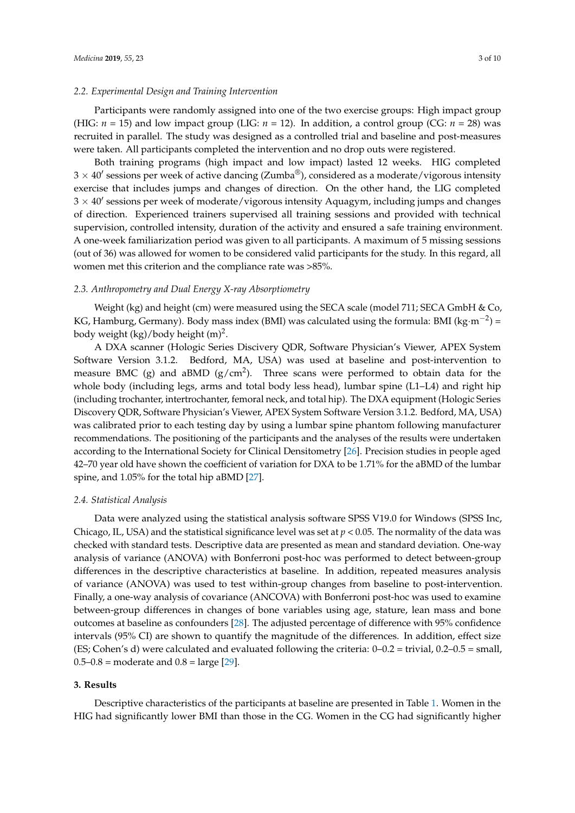## *2.2. Experimental Design and Training Intervention*

Participants were randomly assigned into one of the two exercise groups: High impact group (HIG:  $n = 15$ ) and low impact group (LIG:  $n = 12$ ). In addition, a control group (CG:  $n = 28$ ) was recruited in parallel. The study was designed as a controlled trial and baseline and post-measures were taken. All participants completed the intervention and no drop outs were registered.

Both training programs (high impact and low impact) lasted 12 weeks. HIG completed  $3 \times 40'$  sessions per week of active dancing (Zumba $^\circledR$ ), considered as a moderate/vigorous intensity exercise that includes jumps and changes of direction. On the other hand, the LIG completed  $3 \times 40'$  sessions per week of moderate/vigorous intensity Aquagym, including jumps and changes of direction. Experienced trainers supervised all training sessions and provided with technical supervision, controlled intensity, duration of the activity and ensured a safe training environment. A one-week familiarization period was given to all participants. A maximum of 5 missing sessions (out of 36) was allowed for women to be considered valid participants for the study. In this regard, all women met this criterion and the compliance rate was >85%.

## *2.3. Anthropometry and Dual Energy X-ray Absorptiometry*

Weight (kg) and height (cm) were measured using the SECA scale (model 711; SECA GmbH & Co, KG, Hamburg, Germany). Body mass index (BMI) was calculated using the formula: BMI (kg·m<sup>-2</sup>) = body weight (kg)/body height (m)<sup>2</sup>.

A DXA scanner (Hologic Series Discivery QDR, Software Physician's Viewer, APEX System Software Version 3.1.2. Bedford, MA, USA) was used at baseline and post-intervention to measure BMC (g) and aBMD (g/cm<sup>2</sup>). Three scans were performed to obtain data for the whole body (including legs, arms and total body less head), lumbar spine (L1–L4) and right hip (including trochanter, intertrochanter, femoral neck, and total hip). The DXA equipment (Hologic Series Discovery QDR, Software Physician's Viewer, APEX System Software Version 3.1.2. Bedford, MA, USA) was calibrated prior to each testing day by using a lumbar spine phantom following manufacturer recommendations. The positioning of the participants and the analyses of the results were undertaken according to the International Society for Clinical Densitometry [\[26\]](#page-8-17). Precision studies in people aged 42–70 year old have shown the coefficient of variation for DXA to be 1.71% for the aBMD of the lumbar spine, and 1.05% for the total hip aBMD [\[27\]](#page-8-18).

#### *2.4. Statistical Analysis*

Data were analyzed using the statistical analysis software SPSS V19.0 for Windows (SPSS Inc, Chicago, IL, USA) and the statistical significance level was set at  $p < 0.05$ . The normality of the data was checked with standard tests. Descriptive data are presented as mean and standard deviation. One-way analysis of variance (ANOVA) with Bonferroni post-hoc was performed to detect between-group differences in the descriptive characteristics at baseline. In addition, repeated measures analysis of variance (ANOVA) was used to test within-group changes from baseline to post-intervention. Finally, a one-way analysis of covariance (ANCOVA) with Bonferroni post-hoc was used to examine between-group differences in changes of bone variables using age, stature, lean mass and bone outcomes at baseline as confounders [\[28\]](#page-8-19). The adjusted percentage of difference with 95% confidence intervals (95% CI) are shown to quantify the magnitude of the differences. In addition, effect size (ES; Cohen's d) were calculated and evaluated following the criteria: 0–0.2 = trivial, 0.2–0.5 = small,  $0.5 - 0.8$  = moderate and  $0.8$  = large [\[29\]](#page-8-20).

#### **3. Results**

Descriptive characteristics of the participants at baseline are presented in Table [1.](#page-3-0) Women in the HIG had significantly lower BMI than those in the CG. Women in the CG had significantly higher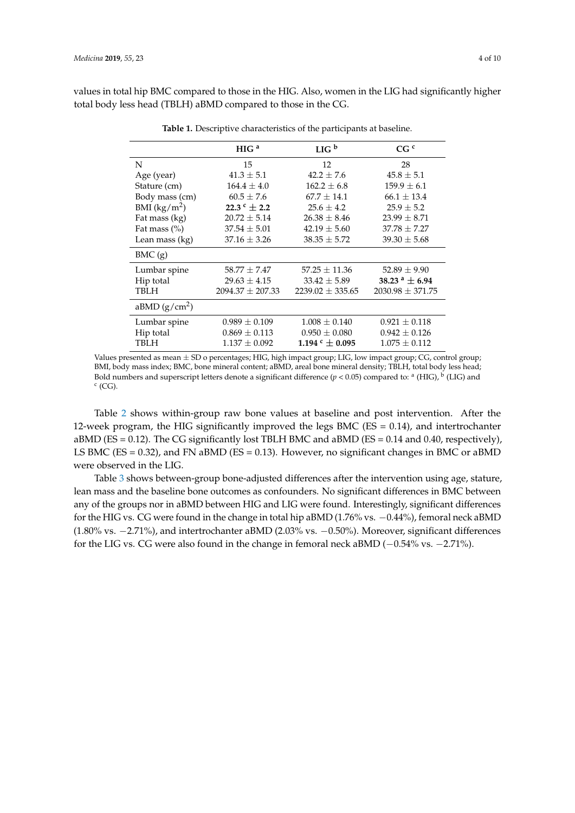<span id="page-3-0"></span>values in total hip BMC compared to those in the HIG. Also, women in the LIG had significantly higher total body less head (TBLH) aBMD compared to those in the CG.

| HIG <sup>a</sup>      | LIG <sup>b</sup>         | CG <sup>c</sup>      |
|-----------------------|--------------------------|----------------------|
| 15                    | 12                       | 28                   |
| $41.3 \pm 5.1$        | $42.2 \pm 7.6$           | $45.8 \pm 5.1$       |
| $164.4 \pm 4.0$       | $162.2 \pm 6.8$          | $159.9 \pm 6.1$      |
| $60.5 \pm 7.6$        | $67.7 \pm 14.1$          | $66.1 \pm 13.4$      |
| 22.3 $^{\circ}$ ± 2.2 | $25.6 \pm 4.2$           | $25.9 \pm 5.2$       |
| $20.72 \pm 5.14$      | $26.38 \pm 8.46$         | $23.99 \pm 8.71$     |
| $37.54 \pm 5.01$      | $42.19 \pm 5.60$         | $37.78 \pm 7.27$     |
| $37.16 \pm 3.26$      | $38.35 \pm 5.72$         | $39.30 \pm 5.68$     |
|                       |                          |                      |
| $58.77 \pm 7.47$      | $57.25 \pm 11.36$        | $52.89 \pm 9.90$     |
| $29.63 \pm 4.15$      | $33.42 \pm 5.89$         | 38.23 $^a \pm 6.94$  |
| $2094.37 \pm 207.33$  | $2239.02 \pm 335.65$     | $2030.98 \pm 371.75$ |
|                       |                          |                      |
| $0.989 \pm 0.109$     | $1.008 \pm 0.140$        | $0.921 \pm 0.118$    |
| $0.869 \pm 0.113$     | $0.950 \pm 0.080$        | $0.942 \pm 0.126$    |
| $1.137 \pm 0.092$     | 1.194 $\rm{c} \pm 0.095$ | $1.075 \pm 0.112$    |
|                       |                          |                      |

**Table 1.** Descriptive characteristics of the participants at baseline.

Values presented as mean  $\pm$  SD o percentages; HIG, high impact group; LIG, low impact group; CG, control group; BMI, body mass index; BMC, bone mineral content; aBMD, areal bone mineral density; TBLH, total body less head; Bold numbers and superscript letters denote a significant difference ( $p < 0.05$ ) compared to: <sup>a</sup> (HIG), <sup>b</sup> (LIG) and  $c$  (CG).

Table [2](#page-4-0) shows within-group raw bone values at baseline and post intervention. After the 12-week program, the HIG significantly improved the legs BMC ( $ES = 0.14$ ), and intertrochanter aBMD ( $ES = 0.12$ ). The CG significantly lost TBLH BMC and aBMD ( $ES = 0.14$  and 0.40, respectively), LS BMC ( $ES = 0.32$ ), and FN aBMD ( $ES = 0.13$ ). However, no significant changes in BMC or aBMD were observed in the LIG.

Table [3](#page-5-0) shows between-group bone-adjusted differences after the intervention using age, stature, lean mass and the baseline bone outcomes as confounders. No significant differences in BMC between any of the groups nor in aBMD between HIG and LIG were found. Interestingly, significant differences for the HIG vs. CG were found in the change in total hip aBMD (1.76% vs. −0.44%), femoral neck aBMD (1.80% vs. −2.71%), and intertrochanter aBMD (2.03% vs. −0.50%). Moreover, significant differences for the LIG vs. CG were also found in the change in femoral neck aBMD (−0.54% vs. −2.71%).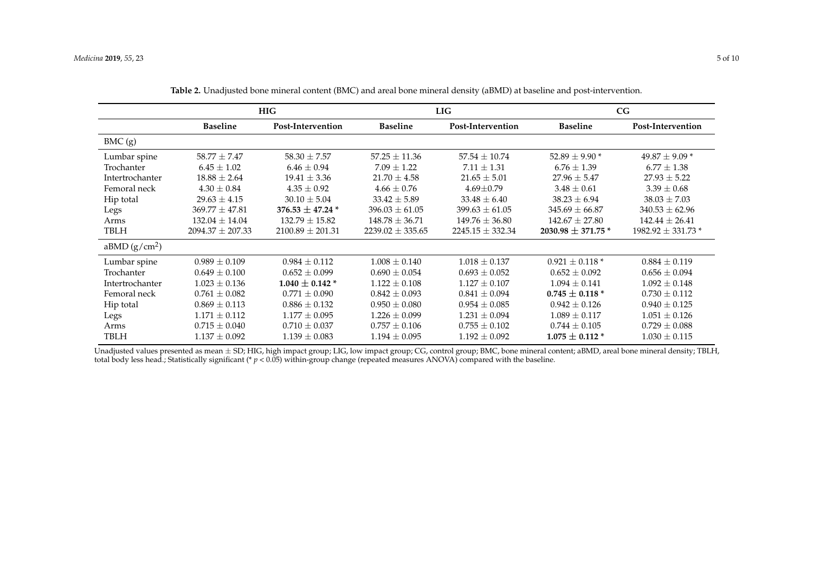|                          | <b>HIG</b>           |                           | <b>LIG</b>           |                      | CG                       |                        |
|--------------------------|----------------------|---------------------------|----------------------|----------------------|--------------------------|------------------------|
|                          | <b>Baseline</b>      | Post-Intervention         | <b>Baseline</b>      | Post-Intervention    | <b>Baseline</b>          | Post-Intervention      |
| BMC(g)                   |                      |                           |                      |                      |                          |                        |
| Lumbar spine             | $58.77 \pm 7.47$     | $58.30 \pm 7.57$          | $57.25 \pm 11.36$    | $57.54 \pm 10.74$    | 52.89 $\pm$ 9.90 $^*$    | $49.87 \pm 9.09$ *     |
| Trochanter               | $6.45 \pm 1.02$      | $6.46 \pm 0.94$           | $7.09 \pm 1.22$      | $7.11 \pm 1.31$      | $6.76 \pm 1.39$          | $6.77 \pm 1.38$        |
| Intertrochanter          | $18.88 \pm 2.64$     | $19.41 \pm 3.36$          | $21.70 \pm 4.58$     | $21.65 \pm 5.01$     | $27.96 \pm 5.47$         | $27.93 \pm 5.22$       |
| Femoral neck             | $4.30 \pm 0.84$      | $4.35 \pm 0.92$           | $4.66 \pm 0.76$      | $4.69 \pm 0.79$      | $3.48 \pm 0.61$          | $3.39 \pm 0.68$        |
| Hip total                | $29.63 \pm 4.15$     | $30.10 \pm 5.04$          | $33.42 \pm 5.89$     | $33.48 \pm 6.40$     | $38.23 \pm 6.94$         | $38.03 \pm 7.03$       |
| Legs                     | $369.77 \pm 47.81$   | 376.53 $\pm$ 47.24 $^{*}$ | $396.03 \pm 61.05$   | $399.63 \pm 61.05$   | $345.69 \pm 66.87$       | $340.53 \pm 62.96$     |
| Arms                     | $132.04 \pm 14.04$   | $132.79 \pm 15.82$        | $148.78 \pm 36.71$   | $149.76 \pm 36.80$   | $142.67 \pm 27.80$       | $142.44 \pm 26.41$     |
| TBLH                     | $2094.37 \pm 207.33$ | $2100.89 \pm 201.31$      | $2239.02 \pm 335.65$ | $2245.15 \pm 332.34$ | 2030.98 $\pm$ 371.75 $*$ | $1982.92 \pm 331.73$ * |
| aBMD(g/cm <sup>2</sup> ) |                      |                           |                      |                      |                          |                        |
| Lumbar spine             | $0.989 \pm 0.109$    | $0.984 \pm 0.112$         | $1.008 \pm 0.140$    | $1.018 \pm 0.137$    | $0.921 \pm 0.118$ *      | $0.884 \pm 0.119$      |
| Trochanter               | $0.649 \pm 0.100$    | $0.652 \pm 0.099$         | $0.690 \pm 0.054$    | $0.693 \pm 0.052$    | $0.652 \pm 0.092$        | $0.656 \pm 0.094$      |
| Intertrochanter          | $1.023 \pm 0.136$    | $1.040 \pm 0.142$ *       | $1.122 \pm 0.108$    | $1.127 \pm 0.107$    | $1.094 \pm 0.141$        | $1.092 \pm 0.148$      |
| Femoral neck             | $0.761 \pm 0.082$    | $0.771 \pm 0.090$         | $0.842 \pm 0.093$    | $0.841 \pm 0.094$    | $0.745 \pm 0.118$ *      | $0.730 \pm 0.112$      |
| Hip total                | $0.869 \pm 0.113$    | $0.886 \pm 0.132$         | $0.950 \pm 0.080$    | $0.954 \pm 0.085$    | $0.942 \pm 0.126$        | $0.940 \pm 0.125$      |
| Legs                     | $1.171 \pm 0.112$    | $1.177 \pm 0.095$         | $1.226 \pm 0.099$    | $1.231 \pm 0.094$    | $1.089 \pm 0.117$        | $1.051 \pm 0.126$      |
| Arms                     | $0.715 \pm 0.040$    | $0.710 \pm 0.037$         | $0.757 \pm 0.106$    | $0.755 \pm 0.102$    | $0.744 \pm 0.105$        | $0.729 \pm 0.088$      |
| TBLH                     | $1.137\pm0.092$      | $1.139 \pm 0.083$         | $1.194 \pm 0.095$    | $1.192 \pm 0.092$    | $1.075 \pm 0.112$ *      | $1.030 \pm 0.115$      |

**Table 2.** Unadjusted bone mineral content (BMC) and areal bone mineral density (aBMD) at baseline and post-intervention.

<span id="page-4-0"></span>Unadjusted values presented as mean ± SD; HIG, high impact group; LIG, low impact group; CG, control group; BMC, bone mineral content; aBMD, areal bone mineral density; TBLH, total body less head.; Statistically significant (\* *p* < 0.05) within-group change (repeated measures ANOVA) compared with the baseline.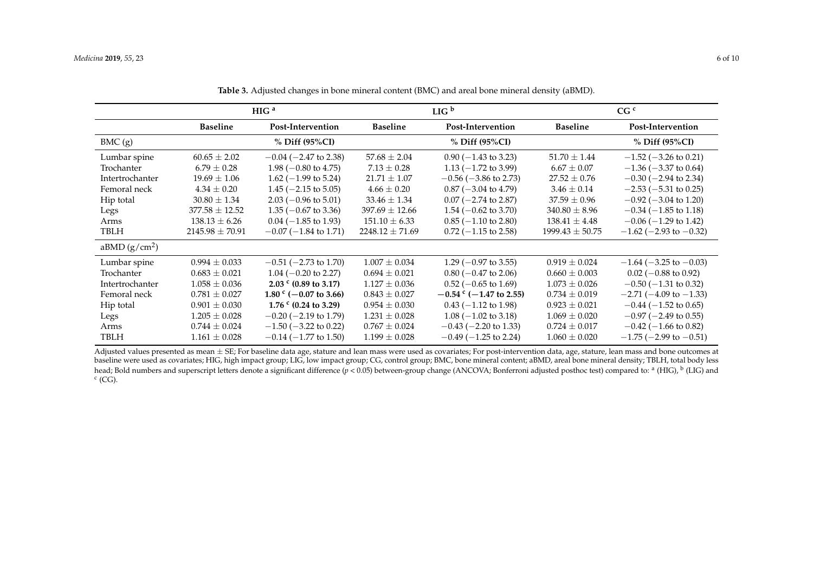|                 | HIG <sup>a</sup>    |                                   | LIG <sup>b</sup>    |                                 | CG <sup>c</sup>     |                                  |
|-----------------|---------------------|-----------------------------------|---------------------|---------------------------------|---------------------|----------------------------------|
|                 | <b>Baseline</b>     | Post-Intervention                 | Baseline            | Post-Intervention               | <b>Baseline</b>     | Post-Intervention                |
| BMC(g)          |                     | % Diff (95%CI)                    |                     | $%$ Diff (95%CI)                |                     | % Diff (95%CI)                   |
| Lumbar spine    | $60.65 \pm 2.02$    | $-0.04$ ( $-2.47$ to 2.38)        | $57.68 \pm 2.04$    | $0.90$ (-1.43 to 3.23)          | $51.70 \pm 1.44$    | $-1.52$ ( $-3.26$ to 0.21)       |
| Trochanter      | $6.79 \pm 0.28$     | $1.98 (-0.80 \text{ to } 4.75)$   | $7.13 \pm 0.28$     | 1.13 $(-1.72 \text{ to } 3.99)$ | $6.67 \pm 0.07$     | $-1.36$ ( $-3.37$ to 0.64)       |
| Intertrochanter | $19.69 \pm 1.06$    | $1.62$ (-1.99 to 5.24)            | $21.71 \pm 1.07$    | $-0.56$ ( $-3.86$ to 2.73)      | $27.52 \pm 0.76$    | $-0.30$ ( $-2.94$ to 2.34)       |
| Femoral neck    | $4.34 \pm 0.20$     | $1.45$ ( $-2.15$ to 5.05)         | $4.66 \pm 0.20$     | $0.87$ (-3.04 to 4.79)          | $3.46 \pm 0.14$     | $-2.53$ ( $-5.31$ to 0.25)       |
| Hip total       | $30.80 \pm 1.34$    | $2.03$ (-0.96 to 5.01)            | $33.46 \pm 1.34$    | $0.07$ (-2.74 to 2.87)          | $37.59 \pm 0.96$    | $-0.92$ ( $-3.04$ to 1.20)       |
| Legs            | $377.58 \pm 12.52$  | $1.35(-0.67 \text{ to } 3.36)$    | $397.69 \pm 12.66$  | $1.54 (-0.62 \text{ to } 3.70)$ | $340.80 \pm 8.96$   | $-0.34$ ( $-1.85$ to 1.18)       |
| Arms            | $138.13 \pm 6.26$   | $0.04 (-1.85 \text{ to } 1.93)$   | $151.10 \pm 6.33$   | $0.85$ (-1.10 to 2.80)          | $138.41 \pm 4.48$   | $-0.06$ ( $-1.29$ to 1.42)       |
| <b>TBLH</b>     | $2145.98 \pm 70.91$ | $-0.07$ ( $-1.84$ to 1.71)        | $2248.12 \pm 71.69$ | $0.72$ (-1.15 to 2.58)          | $1999.43 \pm 50.75$ | $-1.62$ ( $-2.93$ to $-0.32$ )   |
| aBMD $(g/cm2)$  |                     |                                   |                     |                                 |                     |                                  |
| Lumbar spine    | $0.994 \pm 0.033$   | $-0.51$ ( $-2.73$ to 1.70)        | $1.007 \pm 0.034$   | $1.29$ (-0.97 to 3.55)          | $0.919 \pm 0.024$   | $-1.64$ ( $-3.25$ to $-0.03$ )   |
| Trochanter      | $0.683 \pm 0.021$   | $1.04 (-0.20 \text{ to } 2.27)$   | $0.694 \pm 0.021$   | $0.80$ (-0.47 to 2.06)          | $0.660 \pm 0.003$   | $0.02$ (-0.88 to 0.92)           |
| Intertrochanter | $1.058 \pm 0.036$   | 2.03 $\degree$ (0.89 to 3.17)     | $1.127 \pm 0.036$   | $0.52$ (-0.65 to 1.69)          | $1.073 \pm 0.026$   | $-0.50$ ( $-1.31$ to 0.32)       |
| Femoral neck    | $0.781 \pm 0.027$   | 1.80 $\degree$ (-0.07 to 3.66)    | $0.843 \pm 0.027$   | $-0.54$ ° ( $-1.47$ to 2.55)    | $0.734 \pm 0.019$   | $-2.71(-4.09 \text{ to } -1.33)$ |
| Hip total       | $0.901 \pm 0.030$   | 1.76 $\textdegree$ (0.24 to 3.29) | $0.954 \pm 0.030$   | $0.43$ (-1.12 to 1.98)          | $0.923 \pm 0.021$   | $-0.44$ ( $-1.52$ to 0.65)       |
| Legs            | $1.205 \pm 0.028$   | $-0.20$ ( $-2.19$ to 1.79)        | $1.231 \pm 0.028$   | $1.08 (-1.02 \text{ to } 3.18)$ | $1.069 \pm 0.020$   | $-0.97$ ( $-2.49$ to 0.55)       |
| Arms            | $0.744 \pm 0.024$   | $-1.50$ ( $-3.22$ to 0.22)        | $0.767 \pm 0.024$   | $-0.43$ ( $-2.20$ to 1.33)      | $0.724 \pm 0.017$   | $-0.42$ ( $-1.66$ to 0.82)       |
| <b>TBLH</b>     | $1.161 \pm 0.028$   | $-0.14$ ( $-1.77$ to 1.50)        | $1.199 \pm 0.028$   | $-0.49$ ( $-1.25$ to 2.24)      | $1.060 \pm 0.020$   | $-1.75$ ( $-2.99$ to $-0.51$ )   |

**Table 3.** Adjusted changes in bone mineral content (BMC) and areal bone mineral density (aBMD).

<span id="page-5-0"></span>Adjusted values presented as mean ± SE; For baseline data age, stature and lean mass were used as covariates; For post-intervention data, age, stature, lean mass and bone outcomes at baseline were used as covariates; HIG, high impact group; LIG, low impact group; CG, control group; BMC, bone mineral content; aBMD, areal bone mineral density; TBLH, total body less head; Bold numbers and superscript letters denote a significant difference (*p* < 0.05) between-group change (ANCOVA; Bonferroni adjusted posthoc test) compared to: <sup>a</sup> (HIG), <sup>b</sup> (LIG) and  $c$  (CG).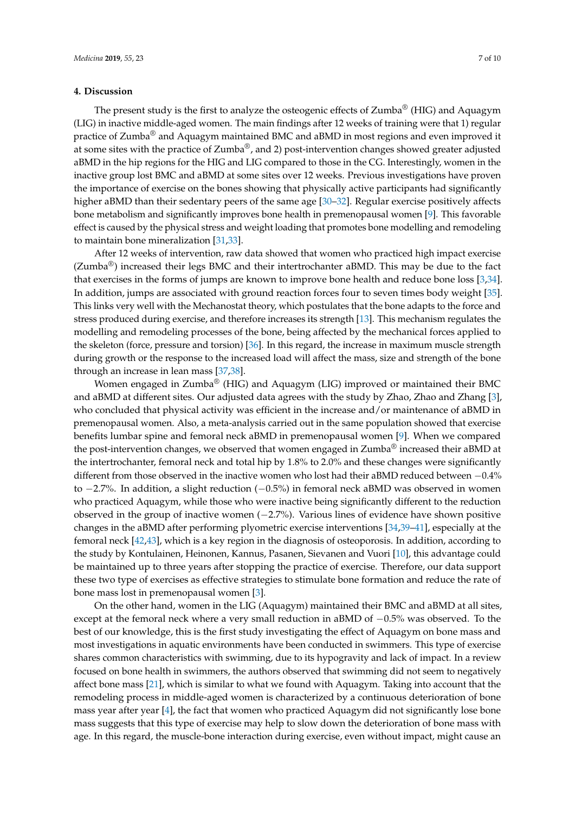## **4. Discussion**

The present study is the first to analyze the osteogenic effects of Zumba<sup>®</sup> (HIG) and Aquagym (LIG) in inactive middle-aged women. The main findings after 12 weeks of training were that 1) regular practice of Zumba<sup>®</sup> and Aquagym maintained BMC and aBMD in most regions and even improved it at some sites with the practice of Zumba®, and 2) post-intervention changes showed greater adjusted aBMD in the hip regions for the HIG and LIG compared to those in the CG. Interestingly, women in the inactive group lost BMC and aBMD at some sites over 12 weeks. Previous investigations have proven the importance of exercise on the bones showing that physically active participants had significantly higher aBMD than their sedentary peers of the same age [\[30–](#page-9-0)[32\]](#page-9-1). Regular exercise positively affects bone metabolism and significantly improves bone health in premenopausal women [\[9\]](#page-8-0). This favorable effect is caused by the physical stress and weight loading that promotes bone modelling and remodeling to maintain bone mineralization [\[31,](#page-9-2)[33\]](#page-9-3).

After 12 weeks of intervention, raw data showed that women who practiced high impact exercise  $(Zumba^{\omega})$  increased their legs BMC and their intertrochanter aBMD. This may be due to the fact that exercises in the forms of jumps are known to improve bone health and reduce bone loss [\[3,](#page-7-2)[34\]](#page-9-4). In addition, jumps are associated with ground reaction forces four to seven times body weight [\[35\]](#page-9-5). This links very well with the Mechanostat theory, which postulates that the bone adapts to the force and stress produced during exercise, and therefore increases its strength [\[13\]](#page-8-4). This mechanism regulates the modelling and remodeling processes of the bone, being affected by the mechanical forces applied to the skeleton (force, pressure and torsion) [\[36\]](#page-9-6). In this regard, the increase in maximum muscle strength during growth or the response to the increased load will affect the mass, size and strength of the bone through an increase in lean mass [\[37,](#page-9-7)[38\]](#page-9-8).

Women engaged in Zumba® (HIG) and Aquagym (LIG) improved or maintained their BMC and aBMD at different sites. Our adjusted data agrees with the study by Zhao, Zhao and Zhang [\[3\]](#page-7-2), who concluded that physical activity was efficient in the increase and/or maintenance of aBMD in premenopausal women. Also, a meta-analysis carried out in the same population showed that exercise benefits lumbar spine and femoral neck aBMD in premenopausal women [\[9\]](#page-8-0). When we compared the post-intervention changes, we observed that women engaged in Zumba<sup>®</sup> increased their aBMD at the intertrochanter, femoral neck and total hip by 1.8% to 2.0% and these changes were significantly different from those observed in the inactive women who lost had their aBMD reduced between −0.4% to −2.7%. In addition, a slight reduction (−0.5%) in femoral neck aBMD was observed in women who practiced Aquagym, while those who were inactive being significantly different to the reduction observed in the group of inactive women (−2.7%). Various lines of evidence have shown positive changes in the aBMD after performing plyometric exercise interventions [\[34,](#page-9-4)[39–](#page-9-9)[41\]](#page-9-10), especially at the femoral neck [\[42](#page-9-11)[,43\]](#page-9-12), which is a key region in the diagnosis of osteoporosis. In addition, according to the study by Kontulainen, Heinonen, Kannus, Pasanen, Sievanen and Vuori [\[10\]](#page-8-1), this advantage could be maintained up to three years after stopping the practice of exercise. Therefore, our data support these two type of exercises as effective strategies to stimulate bone formation and reduce the rate of bone mass lost in premenopausal women [\[3\]](#page-7-2).

On the other hand, women in the LIG (Aquagym) maintained their BMC and aBMD at all sites, except at the femoral neck where a very small reduction in aBMD of −0.5% was observed. To the best of our knowledge, this is the first study investigating the effect of Aquagym on bone mass and most investigations in aquatic environments have been conducted in swimmers. This type of exercise shares common characteristics with swimming, due to its hypogravity and lack of impact. In a review focused on bone health in swimmers, the authors observed that swimming did not seem to negatively affect bone mass [\[21\]](#page-8-12), which is similar to what we found with Aquagym. Taking into account that the remodeling process in middle-aged women is characterized by a continuous deterioration of bone mass year after year [\[4\]](#page-7-3), the fact that women who practiced Aquagym did not significantly lose bone mass suggests that this type of exercise may help to slow down the deterioration of bone mass with age. In this regard, the muscle-bone interaction during exercise, even without impact, might cause an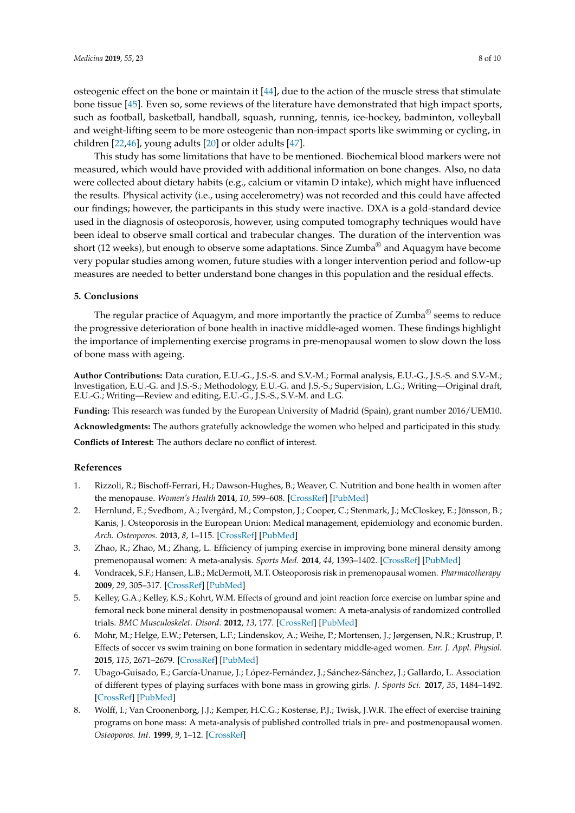osteogenic effect on the bone or maintain it [\[44\]](#page-9-13), due to the action of the muscle stress that stimulate bone tissue [\[45\]](#page-9-14). Even so, some reviews of the literature have demonstrated that high impact sports, such as football, basketball, handball, squash, running, tennis, ice-hockey, badminton, volleyball and weight-lifting seem to be more osteogenic than non-impact sports like swimming or cycling, in children [\[22,](#page-8-13)[46\]](#page-9-15), young adults [\[20\]](#page-8-11) or older adults [\[47\]](#page-9-16).

This study has some limitations that have to be mentioned. Biochemical blood markers were not measured, which would have provided with additional information on bone changes. Also, no data were collected about dietary habits (e.g., calcium or vitamin D intake), which might have influenced the results. Physical activity (i.e., using accelerometry) was not recorded and this could have affected our findings; however, the participants in this study were inactive. DXA is a gold-standard device used in the diagnosis of osteoporosis, however, using computed tomography techniques would have been ideal to observe small cortical and trabecular changes. The duration of the intervention was short (12 weeks), but enough to observe some adaptations. Since Zumba<sup>®</sup> and Aquagym have become very popular studies among women, future studies with a longer intervention period and follow-up measures are needed to better understand bone changes in this population and the residual effects.

## **5. Conclusions**

The regular practice of Aquagym, and more importantly the practice of Zumba<sup>®</sup> seems to reduce the progressive deterioration of bone health in inactive middle-aged women. These findings highlight the importance of implementing exercise programs in pre-menopausal women to slow down the loss of bone mass with ageing.

**Author Contributions:** Data curation, E.U.-G., J.S.-S. and S.V.-M.; Formal analysis, E.U.-G., J.S.-S. and S.V.-M.; Investigation, E.U.-G. and J.S.-S.; Methodology, E.U.-G. and J.S.-S.; Supervision, L.G.; Writing—Original draft, E.U.-G.; Writing—Review and editing, E.U.-G., J.S.-S., S.V.-M. and L.G.

**Funding:** This research was funded by the European University of Madrid (Spain), grant number 2016/UEM10. **Acknowledgments:** The authors gratefully acknowledge the women who helped and participated in this study. **Conflicts of Interest:** The authors declare no conflict of interest.

## **References**

- <span id="page-7-0"></span>1. Rizzoli, R.; Bischoff-Ferrari, H.; Dawson-Hughes, B.; Weaver, C. Nutrition and bone health in women after the menopause. *Women's Health* **2014**, *10*, 599–608. [\[CrossRef\]](http://dx.doi.org/10.2217/WHE.14.40) [\[PubMed\]](http://www.ncbi.nlm.nih.gov/pubmed/25482487)
- <span id="page-7-1"></span>2. Hernlund, E.; Svedbom, A.; Ivergård, M.; Compston, J.; Cooper, C.; Stenmark, J.; McCloskey, E.; Jönsson, B.; Kanis, J. Osteoporosis in the European Union: Medical management, epidemiology and economic burden. *Arch. Osteoporos.* **2013**, *8*, 1–115. [\[CrossRef\]](http://dx.doi.org/10.1007/s11657-013-0136-1) [\[PubMed\]](http://www.ncbi.nlm.nih.gov/pubmed/24113837)
- <span id="page-7-2"></span>3. Zhao, R.; Zhao, M.; Zhang, L. Efficiency of jumping exercise in improving bone mineral density among premenopausal women: A meta-analysis. *Sports Med.* **2014**, *44*, 1393–1402. [\[CrossRef\]](http://dx.doi.org/10.1007/s40279-014-0220-8) [\[PubMed\]](http://www.ncbi.nlm.nih.gov/pubmed/24981245)
- <span id="page-7-3"></span>4. Vondracek, S.F.; Hansen, L.B.; McDermott, M.T. Osteoporosis risk in premenopausal women. *Pharmacotherapy* **2009**, *29*, 305–317. [\[CrossRef\]](http://dx.doi.org/10.1592/phco.29.3.305) [\[PubMed\]](http://www.ncbi.nlm.nih.gov/pubmed/19249949)
- <span id="page-7-4"></span>5. Kelley, G.A.; Kelley, K.S.; Kohrt, W.M. Effects of ground and joint reaction force exercise on lumbar spine and femoral neck bone mineral density in postmenopausal women: A meta-analysis of randomized controlled trials. *BMC Musculoskelet. Disord.* **2012**, *13*, 177. [\[CrossRef\]](http://dx.doi.org/10.1186/1471-2474-13-177) [\[PubMed\]](http://www.ncbi.nlm.nih.gov/pubmed/22992273)
- <span id="page-7-5"></span>6. Mohr, M.; Helge, E.W.; Petersen, L.F.; Lindenskov, A.; Weihe, P.; Mortensen, J.; Jørgensen, N.R.; Krustrup, P. Effects of soccer vs swim training on bone formation in sedentary middle-aged women. *Eur. J. Appl. Physiol.* **2015**, *115*, 2671–2679. [\[CrossRef\]](http://dx.doi.org/10.1007/s00421-015-3231-8) [\[PubMed\]](http://www.ncbi.nlm.nih.gov/pubmed/26255288)
- <span id="page-7-6"></span>7. Ubago-Guisado, E.; García-Unanue, J.; López-Fernández, J.; Sánchez-Sánchez, J.; Gallardo, L. Association of different types of playing surfaces with bone mass in growing girls. *J. Sports Sci.* **2017**, *35*, 1484–1492. [\[CrossRef\]](http://dx.doi.org/10.1080/02640414.2016.1223328) [\[PubMed\]](http://www.ncbi.nlm.nih.gov/pubmed/27564702)
- <span id="page-7-7"></span>8. Wolff, I.; Van Croonenborg, J.J.; Kemper, H.C.G.; Kostense, P.J.; Twisk, J.W.R. The effect of exercise training programs on bone mass: A meta-analysis of published controlled trials in pre- and postmenopausal women. *Osteoporos. Int.* **1999**, *9*, 1–12. [\[CrossRef\]](http://dx.doi.org/10.1007/s001980050109)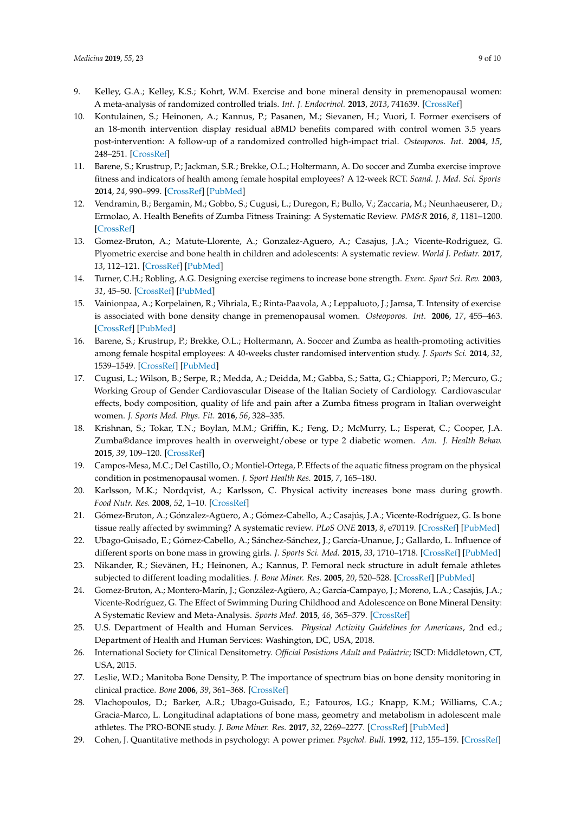- <span id="page-8-0"></span>9. Kelley, G.A.; Kelley, K.S.; Kohrt, W.M. Exercise and bone mineral density in premenopausal women: A meta-analysis of randomized controlled trials. *Int. J. Endocrinol.* **2013**, *2013*, 741639. [\[CrossRef\]](http://dx.doi.org/10.1155/2013/741639)
- <span id="page-8-1"></span>10. Kontulainen, S.; Heinonen, A.; Kannus, P.; Pasanen, M.; Sievanen, H.; Vuori, I. Former exercisers of an 18-month intervention display residual aBMD benefits compared with control women 3.5 years post-intervention: A follow-up of a randomized controlled high-impact trial. *Osteoporos. Int.* **2004**, *15*, 248–251. [\[CrossRef\]](http://dx.doi.org/10.1007/s00198-003-1559-0)
- <span id="page-8-2"></span>11. Barene, S.; Krustrup, P.; Jackman, S.R.; Brekke, O.L.; Holtermann, A. Do soccer and Zumba exercise improve fitness and indicators of health among female hospital employees? A 12-week RCT. *Scand. J. Med. Sci. Sports* **2014**, *24*, 990–999. [\[CrossRef\]](http://dx.doi.org/10.1111/sms.12138) [\[PubMed\]](http://www.ncbi.nlm.nih.gov/pubmed/24151956)
- <span id="page-8-3"></span>12. Vendramin, B.; Bergamin, M.; Gobbo, S.; Cugusi, L.; Duregon, F.; Bullo, V.; Zaccaria, M.; Neunhaeuserer, D.; Ermolao, A. Health Benefits of Zumba Fitness Training: A Systematic Review. *PM&R* **2016**, *8*, 1181–1200. [\[CrossRef\]](http://dx.doi.org/10.1016/j.pmrj.2016.06.010)
- <span id="page-8-4"></span>13. Gomez-Bruton, A.; Matute-Llorente, A.; Gonzalez-Aguero, A.; Casajus, J.A.; Vicente-Rodriguez, G. Plyometric exercise and bone health in children and adolescents: A systematic review. *World J. Pediatr.* **2017**, *13*, 112–121. [\[CrossRef\]](http://dx.doi.org/10.1007/s12519-016-0076-0) [\[PubMed\]](http://www.ncbi.nlm.nih.gov/pubmed/28101776)
- <span id="page-8-5"></span>14. Turner, C.H.; Robling, A.G. Designing exercise regimens to increase bone strength. *Exerc. Sport Sci. Rev.* **2003**, *31*, 45–50. [\[CrossRef\]](http://dx.doi.org/10.1097/00003677-200301000-00009) [\[PubMed\]](http://www.ncbi.nlm.nih.gov/pubmed/12562170)
- <span id="page-8-6"></span>15. Vainionpaa, A.; Korpelainen, R.; Vihriala, E.; Rinta-Paavola, A.; Leppaluoto, J.; Jamsa, T. Intensity of exercise is associated with bone density change in premenopausal women. *Osteoporos. Int.* **2006**, *17*, 455–463. [\[CrossRef\]](http://dx.doi.org/10.1007/s00198-005-0005-x) [\[PubMed\]](http://www.ncbi.nlm.nih.gov/pubmed/16404492)
- <span id="page-8-7"></span>16. Barene, S.; Krustrup, P.; Brekke, O.L.; Holtermann, A. Soccer and Zumba as health-promoting activities among female hospital employees: A 40-weeks cluster randomised intervention study. *J. Sports Sci.* **2014**, *32*, 1539–1549. [\[CrossRef\]](http://dx.doi.org/10.1080/02640414.2014.906043) [\[PubMed\]](http://www.ncbi.nlm.nih.gov/pubmed/24720526)
- <span id="page-8-8"></span>17. Cugusi, L.; Wilson, B.; Serpe, R.; Medda, A.; Deidda, M.; Gabba, S.; Satta, G.; Chiappori, P.; Mercuro, G.; Working Group of Gender Cardiovascular Disease of the Italian Society of Cardiology. Cardiovascular effects, body composition, quality of life and pain after a Zumba fitness program in Italian overweight women. *J. Sports Med. Phys. Fit.* **2016**, *56*, 328–335.
- <span id="page-8-9"></span>18. Krishnan, S.; Tokar, T.N.; Boylan, M.M.; Griffin, K.; Feng, D.; McMurry, L.; Esperat, C.; Cooper, J.A. Zumba®dance improves health in overweight/obese or type 2 diabetic women. *Am. J. Health Behav.* **2015**, *39*, 109–120. [\[CrossRef\]](http://dx.doi.org/10.5993/AJHB.39.1.12)
- <span id="page-8-10"></span>19. Campos-Mesa, M.C.; Del Castillo, O.; Montiel-Ortega, P. Effects of the aquatic fitness program on the physical condition in postmenopausal women. *J. Sport Health Res.* **2015**, *7*, 165–180.
- <span id="page-8-11"></span>20. Karlsson, M.K.; Nordqvist, A.; Karlsson, C. Physical activity increases bone mass during growth. *Food Nutr. Res.* **2008**, *52*, 1–10. [\[CrossRef\]](http://dx.doi.org/10.3402/fnr.v52i0.1871)
- <span id="page-8-12"></span>21. Gómez-Bruton, A.; Gónzalez-Agüero, A.; Gómez-Cabello, A.; Casajús, J.A.; Vicente-Rodríguez, G. Is bone tissue really affected by swimming? A systematic review. *PLoS ONE* **2013**, *8*, e70119. [\[CrossRef\]](http://dx.doi.org/10.1371/journal.pone.0070119) [\[PubMed\]](http://www.ncbi.nlm.nih.gov/pubmed/23950908)
- <span id="page-8-13"></span>22. Ubago-Guisado, E.; Gómez-Cabello, A.; Sánchez-Sánchez, J.; García-Unanue, J.; Gallardo, L. Influence of different sports on bone mass in growing girls. *J. Sports Sci. Med.* **2015**, *33*, 1710–1718. [\[CrossRef\]](http://dx.doi.org/10.1080/02640414.2015.1004639) [\[PubMed\]](http://www.ncbi.nlm.nih.gov/pubmed/25607233)
- <span id="page-8-14"></span>23. Nikander, R.; Sievänen, H.; Heinonen, A.; Kannus, P. Femoral neck structure in adult female athletes subjected to different loading modalities. *J. Bone Miner. Res.* **2005**, *20*, 520–528. [\[CrossRef\]](http://dx.doi.org/10.1359/JBMR.041119) [\[PubMed\]](http://www.ncbi.nlm.nih.gov/pubmed/15746998)
- <span id="page-8-15"></span>24. Gomez-Bruton, A.; Montero-Marín, J.; González-Agüero, A.; García-Campayo, J.; Moreno, L.A.; Casajús, J.A.; Vicente-Rodríguez, G. The Effect of Swimming During Childhood and Adolescence on Bone Mineral Density: A Systematic Review and Meta-Analysis. *Sports Med.* **2015**, *46*, 365–379. [\[CrossRef\]](http://dx.doi.org/10.1007/s40279-015-0427-3)
- <span id="page-8-16"></span>25. U.S. Department of Health and Human Services. *Physical Activity Guidelines for Americans*, 2nd ed.; Department of Health and Human Services: Washington, DC, USA, 2018.
- <span id="page-8-17"></span>26. International Society for Clinical Densitometry. *Official Posistions Adult and Pediatric*; ISCD: Middletown, CT, USA, 2015.
- <span id="page-8-18"></span>27. Leslie, W.D.; Manitoba Bone Density, P. The importance of spectrum bias on bone density monitoring in clinical practice. *Bone* **2006**, *39*, 361–368. [\[CrossRef\]](http://dx.doi.org/10.1016/j.bone.2006.02.002)
- <span id="page-8-19"></span>28. Vlachopoulos, D.; Barker, A.R.; Ubago-Guisado, E.; Fatouros, I.G.; Knapp, K.M.; Williams, C.A.; Gracia-Marco, L. Longitudinal adaptations of bone mass, geometry and metabolism in adolescent male athletes. The PRO-BONE study. *J. Bone Miner. Res.* **2017**, *32*, 2269–2277. [\[CrossRef\]](http://dx.doi.org/10.1002/jbmr.3206) [\[PubMed\]](http://www.ncbi.nlm.nih.gov/pubmed/28685886)
- <span id="page-8-20"></span>29. Cohen, J. Quantitative methods in psychology: A power primer. *Psychol. Bull.* **1992**, *112*, 155–159. [\[CrossRef\]](http://dx.doi.org/10.1037/0033-2909.112.1.155)